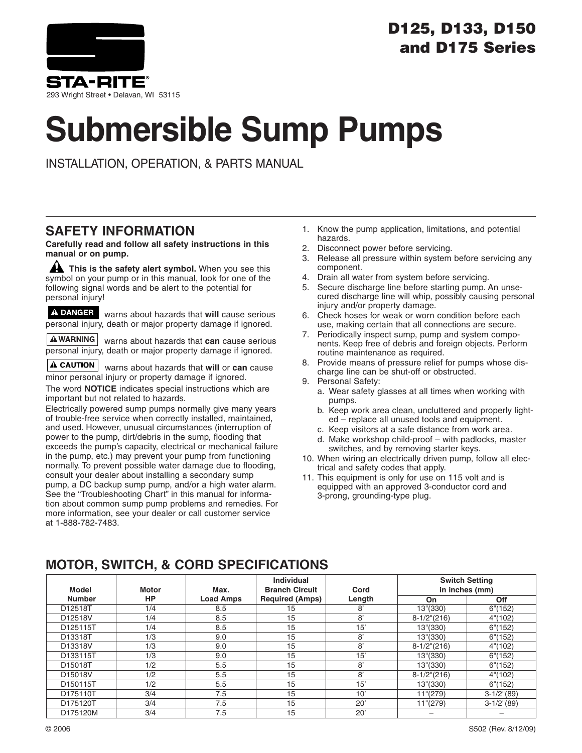

### **D125, D133, D150 and D175 Series**

# **Submersible Sump Pumps**

INSTALLATION, OPERATION, & PARTS MANUAL

### **SAFETY INFORMATION**

**Carefully read and follow all safety instructions in this manual or on pump.**

**A** This is the safety alert symbol. When you see this symbol on your pump or in this manual, look for one of the following signal words and be alert to the potential for personal injury!

A DANGER warns about hazards that will cause serious personal injury, death or major property damage if ignored.

**AWARNING** warns about hazards that **can** cause serious personal injury, death or major property damage if ignored.

**A CAUTION** warns about hazards that **will** or **can** cause minor personal injury or property damage if ignored.

The word **NOTICE** indicates special instructions which are important but not related to hazards.

Electrically powered sump pumps normally give many years of trouble-free service when correctly installed, maintained, and used. However, unusual circumstances (interruption of power to the pump, dirt/debris in the sump, flooding that exceeds the pump's capacity, electrical or mechanical failure in the pump, etc.) may prevent your pump from functioning normally. To prevent possible water damage due to flooding, consult your dealer about installing a secondary sump pump, a DC backup sump pump, and/or a high water alarm. See the "Troubleshooting Chart" in this manual for information about common sump pump problems and remedies. For more information, see your dealer or call customer service at 1-888-782-7483.

- 1. Know the pump application, limitations, and potential hazards.
- 2. Disconnect power before servicing.
- 3. Release all pressure within system before servicing any component.
- 4. Drain all water from system before servicing.
- 5. Secure discharge line before starting pump. An unsecured discharge line will whip, possibly causing personal injury and/or property damage.
- 6. Check hoses for weak or worn condition before each use, making certain that all connections are secure.
- 7. Periodically inspect sump, pump and system components. Keep free of debris and foreign objects. Perform routine maintenance as required.
- 8. Provide means of pressure relief for pumps whose discharge line can be shut-off or obstructed.
- 9. Personal Safety:
	- a. Wear safety glasses at all times when working with pumps.
	- b. Keep work area clean, uncluttered and properly lighted – replace all unused tools and equipment.
	- c. Keep visitors at a safe distance from work area.
	- d. Make workshop child-proof with padlocks, master switches, and by removing starter keys.
- 10. When wiring an electrically driven pump, follow all electrical and safety codes that apply.
- 11. This equipment is only for use on 115 volt and is equipped with an approved 3-conductor cord and 3-prong, grounding-type plug.

### **MOTOR, SWITCH, & CORD SPECIFICATIONS**

| Model         | <b>Motor</b> | Max.             | Individual<br><b>Branch Circuit</b> | Cord           |                   | <b>Switch Setting</b><br>in inches (mm) |
|---------------|--------------|------------------|-------------------------------------|----------------|-------------------|-----------------------------------------|
| <b>Number</b> | <b>HP</b>    | <b>Load Amps</b> | <b>Required (Amps)</b>              | Length         | On                | Off                                     |
| D12518T       | 1/4          | 8.5              | 15                                  | $\overline{8}$ | 13"(330)          | 6''(152)                                |
| D12518V       | 1/4          | 8.5              | 15                                  | 8'             | $8-1/2$ "(216)    | 4" (102)                                |
| D125115T      | 1/4          | 8.5              | 15                                  | 15'            | 13"(330)          | 6''(152)                                |
| D13318T       | 1/3          | 9.0              | 15                                  | 8'             | 13"(330)          | 6''(152)                                |
| D13318V       | 1/3          | 9.0              | 15                                  | 8'             | $8-1/2$ "(216)    | 4" (102)                                |
| D133115T      | 1/3          | 9.0              | 15                                  | 15'            | 13"(330)          | 6''(152)                                |
| D15018T       | 1/2          | 5.5              | 15                                  | 8'             | 13"(330)          | 6''(152)                                |
| D15018V       | 1/2          | 5.5              | 15                                  | 8'             | $8-1/2$ " $(216)$ | 4" (102)                                |
| D150115T      | 1/2          | 5.5              | 15                                  | 15'            | 13"(330)          | 6''(152)                                |
| D175110T      | 3/4          | 7.5              | 15                                  | 10'            | 11''(279)         | $3-1/2$ "(89)                           |
| D175120T      | 3/4          | 7.5              | 15                                  | $20^{\circ}$   | 11''(279)         | $3-1/2$ "(89)                           |
| D175120M      | 3/4          | 7.5              | 15                                  | 20'            |                   |                                         |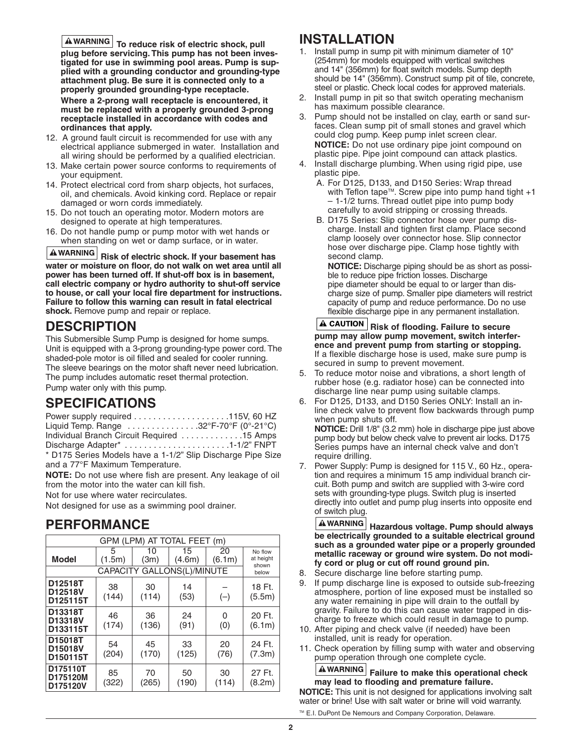$\overline{\textbf{A}}$  WARNING To reduce risk of electric shock, pull **plug before servicing. This pump has not been investigated for use in swimming pool areas. Pump is supplied with a grounding conductor and grounding-type attachment plug. Be sure it is connected only to a properly grounded grounding-type receptacle. Where a 2-prong wall receptacle is encountered, it must be replaced with a properly grounded 3-prong receptacle installed in accordance with codes and ordinances that apply.**

- 12. A ground fault circuit is recommended for use with any electrical appliance submerged in water. Installation and all wiring should be performed by a qualified electrician.
- 13. Make certain power source conforms to requirements of your equipment.
- 14. Protect electrical cord from sharp objects, hot surfaces, oil, and chemicals. Avoid kinking cord. Replace or repair damaged or worn cords immediately.
- 15. Do not touch an operating motor. Modern motors are designed to operate at high temperatures.
- 16. Do not handle pump or pump motor with wet hands or when standing on wet or damp surface, or in water.

**Risk of electric shock. If your basement has water or moisture on floor, do not walk on wet area until all power has been turned off. If shut-off box is in basement, call electric company or hydro authority to shut-off service to house, or call your local fire department for instructions. Failure to follow this warning can result in fatal electrical shock.** Remove pump and repair or replace.

### **DESCRIPTION**

This Submersible Sump Pump is designed for home sumps. Unit is equipped with a 3-prong grounding-type power cord. The shaded-pole motor is oil filled and sealed for cooler running. The sleeve bearings on the motor shaft never need lubrication. The pump includes automatic reset thermal protection. Pump water only with this pump.

### **SPECIFICATIONS**

| Liquid Temp. Range 32°F-70°F (0°-21°C)                      |  |
|-------------------------------------------------------------|--|
| Individual Branch Circuit Required 15 Amps                  |  |
| Discharge Adapter* 1-1/2" FNPT                              |  |
| * D175 Series Models have a 1-1/2" Slip Discharge Pipe Size |  |
|                                                             |  |

and a 77°F Maximum Temperature. **NOTE:** Do not use where fish are present. Any leakage of oil from the motor into the water can kill fish.

Not for use where water recirculates.

Not designed for use as a swimming pool drainer.

### **PERFORMANCE**

| GPM (LPM) AT TOTAL FEET (m)      |             |             |                            |              |                               |  |
|----------------------------------|-------------|-------------|----------------------------|--------------|-------------------------------|--|
| <b>Model</b>                     | 5<br>(1.5m) | 10<br>(3m)  | 15<br>(4.6m)               | 20<br>(6.1m) | No flow<br>at height<br>shown |  |
|                                  |             |             | CAPACITY GALLONS(L)/MINUTE |              | below                         |  |
| D12518T<br>D12518V<br>D125115T   | 38<br>(144) | 30<br>(114) | 14<br>(53)                 | $(-)$        | 18 Ft.<br>(5.5m)              |  |
| D13318T<br>D13318V<br>D133115T   | 46<br>(174) | 36<br>(136) | 24<br>(91)                 | 0<br>(0)     | 20 Ft.<br>(6.1m)              |  |
| D15018T<br>D15018V<br>D150115T   | 54<br>(204) | 45<br>(170) | 33<br>(125)                | 20<br>(76)   | 24 Ft.<br>(7.3m)              |  |
| D175110T<br>D175120M<br>D175120V | 85<br>(322) | 70<br>(265) | 50<br>(190)                | 30<br>(114)  | 27 Ft.<br>(8.2m)              |  |

### **INSTALLATION**

- 1. Install pump in sump pit with minimum diameter of 10" (254mm) for models equipped with vertical switches and 14" (356mm) for float switch models. Sump depth should be 14" (356mm). Construct sump pit of tile, concrete, steel or plastic. Check local codes for approved materials.
- 2. Install pump in pit so that switch operating mechanism has maximum possible clearance.
- 3. Pump should not be installed on clay, earth or sand surfaces. Clean sump pit of small stones and gravel which could clog pump. Keep pump inlet screen clear. **NOTICE:** Do not use ordinary pipe joint compound on plastic pipe. Pipe joint compound can attack plastics.
- 4. Install discharge plumbing. When using rigid pipe, use plastic pipe.
	- A. For D125, D133, and D150 Series: Wrap thread with Teflon tape<sup>TM</sup>. Screw pipe into pump hand tight  $+1$ – 1-1/2 turns. Thread outlet pipe into pump body carefully to avoid stripping or crossing threads.
	- B. D175 Series: Slip connector hose over pump discharge. Install and tighten first clamp. Place second clamp loosely over connector hose. Slip connector hose over discharge pipe. Clamp hose tightly with second clamp.

**NOTICE:** Discharge piping should be as short as possible to reduce pipe friction losses. Discharge pipe diameter should be equal to or larger than discharge size of pump. Smaller pipe diameters will restrict capacity of pump and reduce performance. Do no use flexible discharge pipe in any permanent installation.

**A CAUTION** Risk of flooding. Failure to secure **pump may allow pump movement, switch interference and prevent pump from starting or stopping.** If a flexible discharge hose is used, make sure pump is secured in sump to prevent movement.

- 5. To reduce motor noise and vibrations, a short length of rubber hose (e.g. radiator hose) can be connected into discharge line near pump using suitable clamps.
- 6. For D125, D133, and D150 Series ONLY: Install an inline check valve to prevent flow backwards through pump when pump shuts off.

**NOTICE:** Drill 1/8" (3.2 mm) hole in discharge pipe just above pump body but below check valve to prevent air locks. D175 Series pumps have an internal check valve and don't require drilling.

7. Power Supply: Pump is designed for 115 V., 60 Hz., operation and requires a minimum 15 amp individual branch circuit. Both pump and switch are supplied with 3-wire cord sets with grounding-type plugs. Switch plug is inserted directly into outlet and pump plug inserts into opposite end of switch plug.

**Hazardous voltage. Pump should always be electrically grounded to a suitable electrical ground such as a grounded water pipe or a properly grounded metallic raceway or ground wire system. Do not modify cord or plug or cut off round ground pin.**

- 8. Secure discharge line before starting pump.
- 9. If pump discharge line is exposed to outside sub-freezing atmosphere, portion of line exposed must be installed so any water remaining in pipe will drain to the outfall by gravity. Failure to do this can cause water trapped in discharge to freeze which could result in damage to pump.
- 10. After piping and check valve (if needed) have been installed, unit is ready for operation.
- 11. Check operation by filling sump with water and observing pump operation through one complete cycle.

**Failure to make this operational check may lead to flooding and premature failure. NOTICE:** This unit is not designed for applications involving salt water or brine! Use with salt water or brine will void warranty.

™ E.I. DuPont De Nemours and Company Corporation, Delaware.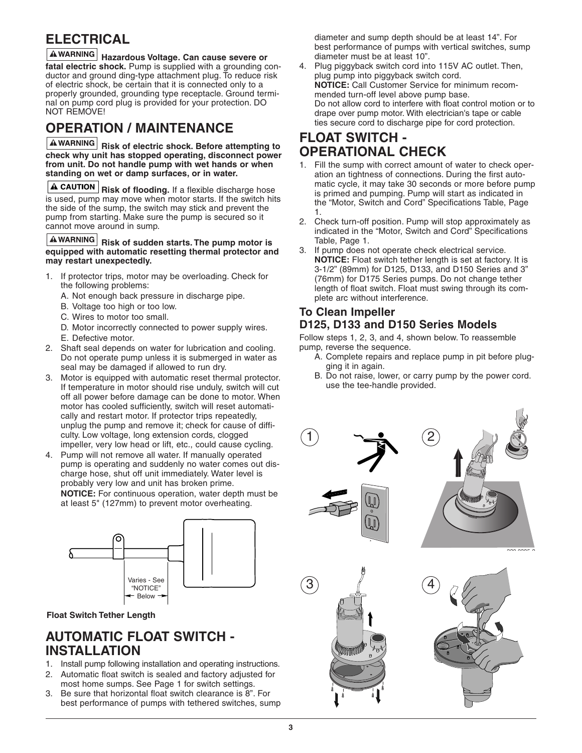### **ELECTRICAL**

**Hazardous Voltage. Can cause severe or fatal electric shock.** Pump is supplied with a grounding conductor and ground ding-type attachment plug. To reduce risk of electric shock, be certain that it is connected only to a properly grounded, grounding type receptacle. Ground terminal on pump cord plug is provided for your protection. DO NOT REMOVE!

### **OPERATION / MAINTENANCE**

**A**WARNING Risk of electric shock. Before attempting to **check why unit has stopped operating, disconnect power from unit. Do not handle pump with wet hands or when standing on wet or damp surfaces, or in water.**

**A CAUTION** Risk of flooding. If a flexible discharge hose is used, pump may move when motor starts. If the switch hits the side of the sump, the switch may stick and prevent the pump from starting. Make sure the pump is secured so it cannot move around in sump.

#### **A**WARNING Risk of sudden starts. The pump motor is **equipped with automatic resetting thermal protector and may restart unexpectedly.**

- 1. If protector trips, motor may be overloading. Check for the following problems:
	- A. Not enough back pressure in discharge pipe.
	- B. Voltage too high or too low.
	- C. Wires to motor too small.
	- D. Motor incorrectly connected to power supply wires.
	- E. Defective motor.
- 2. Shaft seal depends on water for lubrication and cooling. Do not operate pump unless it is submerged in water as seal may be damaged if allowed to run dry.
- 3. Motor is equipped with automatic reset thermal protector. If temperature in motor should rise unduly, switch will cut off all power before damage can be done to motor. When motor has cooled sufficiently, switch will reset automatically and restart motor. If protector trips repeatedly, unplug the pump and remove it; check for cause of difficulty. Low voltage, long extension cords, clogged impeller, very low head or lift, etc., could cause cycling.
- 4. Pump will not remove all water. If manually operated pump is operating and suddenly no water comes out discharge hose, shut off unit immediately. Water level is probably very low and unit has broken prime. **NOTICE:** For continuous operation, water depth must be at least 5" (127mm) to prevent motor overheating.



#### **Float Switch Tether Length**

### **AUTOMATIC FLOAT SWITCH - INSTALLATION**

- 1. Install pump following installation and operating instructions.
- 2. Automatic float switch is sealed and factory adjusted for most home sumps. See Page 1 for switch settings.
- 3. Be sure that horizontal float switch clearance is 8". For best performance of pumps with tethered switches, sump

diameter and sump depth should be at least 14". For best performance of pumps with vertical switches, sump diameter must be at least 10".

4. Plug piggyback switch cord into 115V AC outlet. Then, plug pump into piggyback switch cord. **NOTICE:** Call Customer Service for minimum recommended turn-off level above pump base. Do not allow cord to interfere with float control motion or to drape over pump motor. With electrician's tape or cable ties secure cord to discharge pipe for cord protection.

### **FLOAT SWITCH - OPERATIONAL CHECK**

- 1. Fill the sump with correct amount of water to check operation an tightness of connections. During the first automatic cycle, it may take 30 seconds or more before pump is primed and pumping. Pump will start as indicated in the "Motor, Switch and Cord" Specifications Table, Page 1.
- 2. Check turn-off position. Pump will stop approximately as indicated in the "Motor, Switch and Cord" Specifications Table, Page 1.
- 3. If pump does not operate check electrical service. **NOTICE:** Float switch tether length is set at factory. It is 3-1/2" (89mm) for D125, D133, and D150 Series and 3" (76mm) for D175 Series pumps. Do not change tether length of float switch. Float must swing through its complete arc without interference.

#### **To Clean Impeller D125, D133 and D150 Series Models**

Follow steps 1, 2, 3, and 4, shown below. To reassemble pump, reverse the sequence.

- A. Complete repairs and replace pump in pit before plugging it in again.
- B. Do not raise, lower, or carry pump by the power cord. use the tee-handle provided.

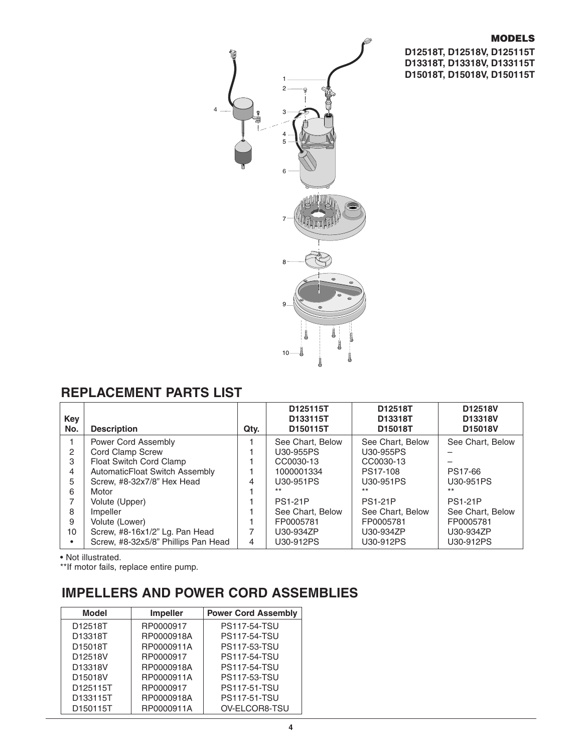#### **MODELS**

**D12518T, D12518V, D125115T D13318T, D13318V, D133115T D15018T, D15018V, D150115T**



### **REPLACEMENT PARTS LIST**

| Key<br>No. | <b>Description</b>                  | Qtv. | D125115T<br>D133115T<br>D150115T | D12518T<br>D13318T<br>D15018T | D12518V<br>D13318V<br>D15018V |
|------------|-------------------------------------|------|----------------------------------|-------------------------------|-------------------------------|
|            | Power Cord Assembly                 |      | See Chart, Below                 | See Chart, Below              | See Chart, Below              |
| 2          | Cord Clamp Screw                    |      | U30-955PS                        | U30-955PS                     |                               |
| 3          | Float Switch Cord Clamp             |      | CC0030-13                        | CC0030-13                     |                               |
| 4          | AutomaticFloat Switch Assembly      |      | 1000001334                       | PS17-108                      | PS17-66                       |
| 5          | Screw, #8-32x7/8" Hex Head          | 4    | U30-951PS                        | U30-951PS                     | U30-951PS                     |
| 6          | Motor                               |      | $***$                            | $***$                         | $***$                         |
|            | Volute (Upper)                      |      | <b>PS1-21P</b>                   | <b>PS1-21P</b>                | <b>PS1-21P</b>                |
| 8          | Impeller                            |      | See Chart, Below                 | See Chart, Below              | See Chart, Below              |
| 9          | Volute (Lower)                      |      | FP0005781                        | FP0005781                     | FP0005781                     |
| 10         | Screw, #8-16x1/2" Lg. Pan Head      |      | U30-934ZP                        | U30-934ZP                     | U30-934ZP                     |
|            | Screw, #8-32x5/8" Phillips Pan Head | 4    | U30-912PS                        | U30-912PS                     | U30-912PS                     |

• Not illustrated.

\*\*If motor fails, replace entire pump.

### **IMPELLERS AND POWER CORD ASSEMBLIES**

| <b>Model</b> | <b>Impeller</b> | <b>Power Cord Assembly</b> |
|--------------|-----------------|----------------------------|
| D12518T      | RP0000917       | <b>PS117-54-TSU</b>        |
| D13318T      | RP0000918A      | <b>PS117-54-TSU</b>        |
| D15018T      | RP0000911A      | <b>PS117-53-TSU</b>        |
| D12518V      | RP0000917       | <b>PS117-54-TSU</b>        |
| D13318V      | RP0000918A      | <b>PS117-54-TSU</b>        |
| D15018V      | RP0000911A      | <b>PS117-53-TSU</b>        |
| D125115T     | RP0000917       | <b>PS117-51-TSU</b>        |
| D133115T     | RP0000918A      | <b>PS117-51-TSU</b>        |
| D150115T     | RP0000911A      | OV-ELCOR8-TSU              |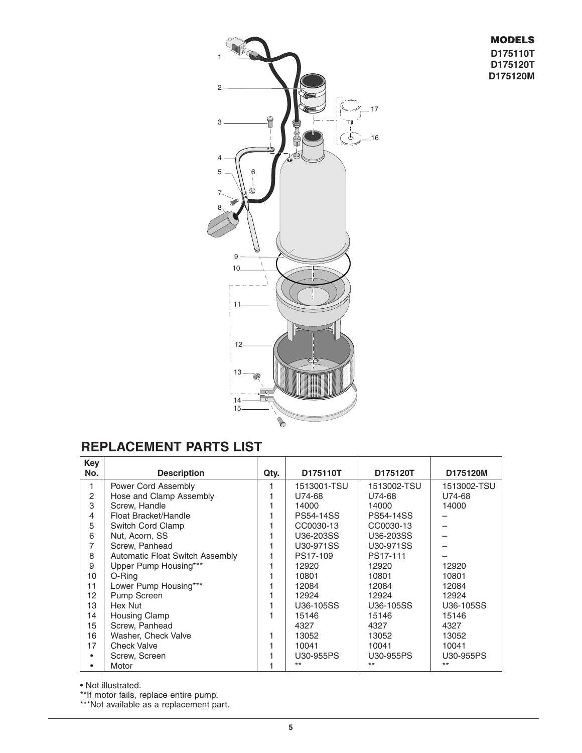#### **MODELS D175110T D175120T D175120M**



### **REPLACEMENT PARTS LIST**

| Key            |                                        |      |                  |                  |             |
|----------------|----------------------------------------|------|------------------|------------------|-------------|
| No.            | <b>Description</b>                     | Qty. | D175110T         | D175120T         | D175120M    |
| 1              | Power Cord Assembly                    |      | 1513001-TSU      | 1513002-TSU      | 1513002-TSU |
| 2              | Hose and Clamp Assembly                |      | U74-68           | U74-68           | U74-68      |
| 3              | Screw, Handle                          |      | 14000            | 14000            | 14000       |
| $\overline{4}$ | Float Bracket/Handle                   |      | <b>PS54-14SS</b> | <b>PS54-14SS</b> |             |
| 5              | Switch Cord Clamp                      |      | CC0030-13        | CC0030-13        |             |
| 6              | Nut, Acorn, SS                         |      | U36-203SS        | U36-203SS        |             |
| 7              | Screw, Panhead                         |      | U30-971SS        | U30-971SS        |             |
| 8              | <b>Automatic Float Switch Assembly</b> |      | PS17-109         | PS17-111         |             |
| 9              | Upper Pump Housing***                  |      | 12920            | 12920            | 12920       |
| 10             | O-Ring                                 |      | 10801            | 10801            | 10801       |
| 11             | Lower Pump Housing***                  |      | 12084            | 12084            | 12084       |
| 12             | Pump Screen                            |      | 12924            | 12924            | 12924       |
| 13             | Hex Nut                                |      | U36-105SS        | U36-105SS        | U36-105SS   |
| 14             | Housing Clamp                          |      | 15146            | 15146            | 15146       |
| 15             | Screw, Panhead                         |      | 4327             | 4327             | 4327        |
| 16             | Washer, Check Valve                    |      | 13052            | 13052            | 13052       |
| 17             | <b>Check Valve</b>                     |      | 10041            | 10041            | 10041       |
|                | Screw, Screen                          |      | U30-955PS        | U30-955PS        | U30-955PS   |
|                | Motor                                  |      | $***$            | $***$            | $***$       |

• Not illustrated.

\*\*If motor fails, replace entire pump.

\*\*\*Not available as a replacement part.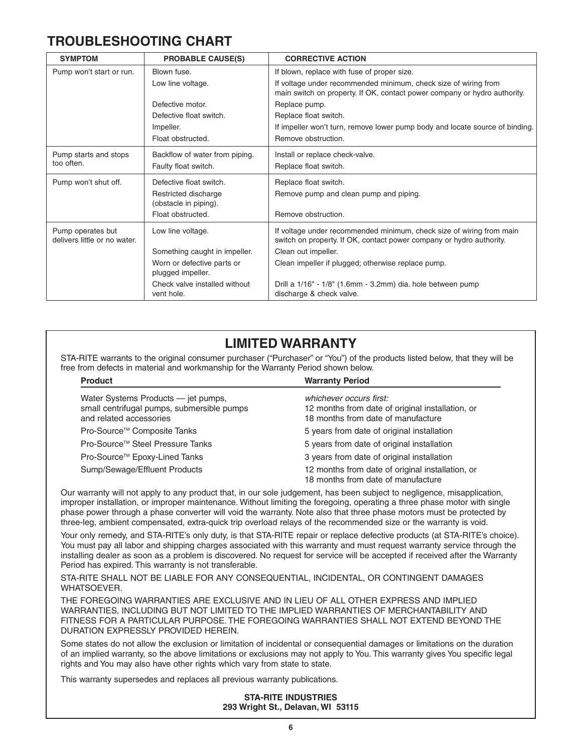### **TROUBLESHOOTING CHART**

| <b>SYMPTOM</b>                                    | <b>PROBABLE CAUSE(S)</b>                        | <b>CORRECTIVE ACTION</b>                                                                                                                     |
|---------------------------------------------------|-------------------------------------------------|----------------------------------------------------------------------------------------------------------------------------------------------|
| Pump won't start or run.                          | Blown fuse.                                     | If blown, replace with fuse of proper size.                                                                                                  |
|                                                   | Low line voltage.                               | If voltage under recommended minimum, check size of wiring from<br>main switch on property. If OK, contact power company or hydro authority. |
|                                                   | Defective motor.                                | Replace pump.                                                                                                                                |
|                                                   | Defective float switch.                         | Replace float switch.                                                                                                                        |
|                                                   | Impeller.                                       | If impeller won't turn, remove lower pump body and locate source of binding.                                                                 |
|                                                   | Float obstructed.                               | Remove obstruction.                                                                                                                          |
| Pump starts and stops                             | Backflow of water from piping.                  | Install or replace check-valve.                                                                                                              |
| too often.                                        | Faulty float switch.                            | Replace float switch.                                                                                                                        |
| Pump won't shut off.                              | Defective float switch.                         | Replace float switch.                                                                                                                        |
|                                                   | Restricted discharge<br>(obstacle in piping).   | Remove pump and clean pump and piping.                                                                                                       |
|                                                   | Float obstructed.                               | Remove obstruction.                                                                                                                          |
| Pump operates but<br>delivers little or no water. | Low line voltage.                               | If voltage under recommended minimum, check size of wiring from main<br>switch on property. If OK, contact power company or hydro authority. |
|                                                   | Something caught in impeller.                   | Clean out impeller.                                                                                                                          |
|                                                   | Worn or defective parts or<br>plugged impeller. | Clean impeller if plugged; otherwise replace pump.                                                                                           |
|                                                   | Check valve installed without                   | Drill a 1/16" - 1/8" (1.6mm - 3.2mm) dia. hole between pump                                                                                  |
|                                                   | vent hole.                                      | discharge & check valve.                                                                                                                     |

### **LIMITED WARRANTY**

STA-RITE warrants to the original consumer purchaser ("Purchaser" or "You") of the products listed below, that they will be free from defects in material and workmanship for the Warranty Period shown below.

| <b>Warranty Period</b>                                                                                            |
|-------------------------------------------------------------------------------------------------------------------|
| whichever occurs first:<br>12 months from date of original installation, or<br>18 months from date of manufacture |
| 5 years from date of original installation                                                                        |
| 5 years from date of original installation                                                                        |
| 3 years from date of original installation                                                                        |
| 12 months from date of original installation, or<br>18 months from date of manufacture                            |
|                                                                                                                   |

Our warranty will not apply to any product that, in our sole judgement, has been subject to negligence, misapplication, improper installation, or improper maintenance. Without limiting the foregoing, operating a three phase motor with single phase power through a phase converter will void the warranty. Note also that three phase motors must be protected by three-leg, ambient compensated, extra-quick trip overload relays of the recommended size or the warranty is void.

Your only remedy, and STA-RITE's only duty, is that STA-RITE repair or replace defective products (at STA-RITE's choice). You must pay all labor and shipping charges associated with this warranty and must request warranty service through the installing dealer as soon as a problem is discovered. No request for service will be accepted if received after the Warranty Period has expired. This warranty is not transferable.

STA-RITE SHALL NOT BE LIABLE FOR ANY CONSEQUENTIAL, INCIDENTAL, OR CONTINGENT DAMAGES WHATSOEVER.

THE FOREGOING WARRANTIES ARE EXCLUSIVE AND IN LIEU OF ALL OTHER EXPRESS AND IMPLIED WARRANTIES, INCLUDING BUT NOT LIMITED TO THE IMPLIED WARRANTIES OF MERCHANTABILITY AND FITNESS FOR A PARTICULAR PURPOSE. THE FOREGOING WARRANTIES SHALL NOT EXTEND BEYOND THE DURATION EXPRESSLY PROVIDED HEREIN.

Some states do not allow the exclusion or limitation of incidental or consequential damages or limitations on the duration of an implied warranty, so the above limitations or exclusions may not apply to You. This warranty gives You specific legal rights and You may also have other rights which vary from state to state.

This warranty supersedes and replaces all previous warranty publications.

**STA-RITE INDUSTRIES 293 Wright St., Delavan, WI 53115**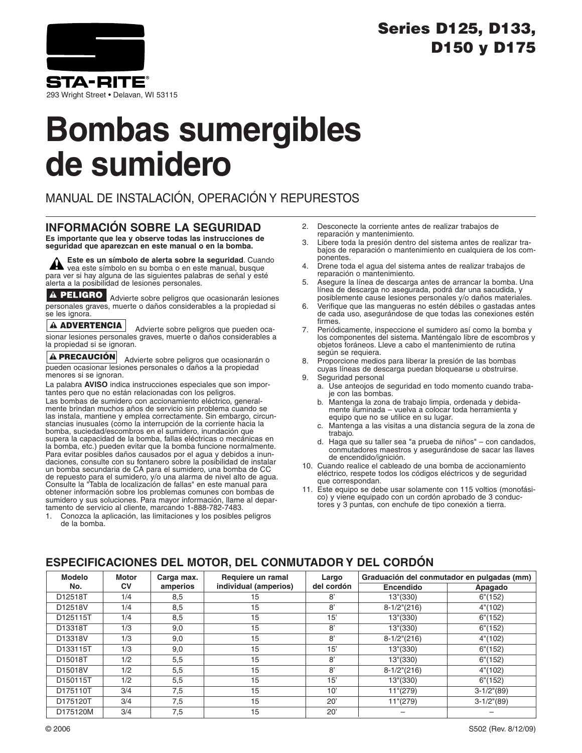### **Series D125, D133, D150 y D175**



293 Wright Street • Delavan, WI 53115

## **Bombas sumergibles de sumidero**

MANUAL DE INSTALACIÓN, OPERACIÓN Y REPURESTOS

### **INFORMACIÓN SOBRE LA SEGURIDAD**

**Es importante que lea y observe todas las instrucciones de seguridad que aparezcan en este manual o en la bomba.**

**Este es un símbolo de alerta sobre la seguridad**. Cuando vea este símbolo en su bomba o en este manual, busque para ver si hay alguna de las siguientes palabras de señal y esté alerta a la posibilidad de lesiones personales.

A PELIGRO Advierte sobre peligros que ocasionarán lesiones personales graves, muerte o daños considerables a la propiedad si se les ignora.

#### **ADVERTENCIA**

Advierte sobre peligros que pueden ocasionar lesiones personales graves, muerte o daños considerables a la propiedad si se ignoran.

#### **PRECAUCIÓN**

Advierte sobre peligros que ocasionarán o pueden ocasionar lesiones personales o daños a la propiedad menores si se ignoran.

La palabra **AVISO** indica instrucciones especiales que son importantes pero que no están relacionadas con los peligros. Las bombas de sumidero con accionamiento eléctrico, generalmente brindan muchos años de servicio sin problema cuando se las instala, mantiene y emplea correctamente. Sin embargo, circunstancias inusuales (como la interrupción de la corriente hacia la bomba, suciedad/escombros en el sumidero, inundación que supera la capacidad de la bomba, fallas eléctricas o mecánicas en la bomba, etc.) pueden evitar que la bomba funcione normalmente. Para evitar posibles daños causados por el agua y debidos a inundaciones, consulte con su fontanero sobre la posibilidad de instalar un bomba secundaria de CA para el sumidero, una bomba de CC de repuesto para el sumidero, y/o una alarma de nivel alto de agua. Consulte la "Tabla de localización de fallas" en este manual para obtener información sobre los problemas comunes con bombas de sumidero y sus soluciones. Para mayor información, llame al depar-tamento de servicio al cliente, marcando 1-888-782-7483.

1. Conozca la aplicación, las limitaciones y los posibles peligros de la bomba.

- 2. Desconecte la corriente antes de realizar trabajos de reparación y mantenimiento.
- 3. Libere toda la presión dentro del sistema antes de realizar trabajos de reparación o mantenimiento en cualquiera de los componentes.
- 4. Drene toda el agua del sistema antes de realizar trabajos de reparación o mantenimiento.
- 5. Asegure la línea de descarga antes de arrancar la bomba. Una línea de descarga no asegurada, podrá dar una sacudida, y posiblemente cause lesiones personales y/o daños materiales.
- Verifique que las mangueras no estén débiles o gastadas antes de cada uso, asegurándose de que todas las conexiones estén firmes.
- 7. Periódicamente, inspeccione el sumidero así como la bomba y los componentes del sistema. Manténgalo libre de escombros y objetos foráneos. Lleve a cabo el mantenimiento de rutina según se requiera.
- 8. Proporcione medios para liberar la presión de las bombas cuyas líneas de descarga puedan bloquearse u obstruirse.
- 9. Seguridad personal
	- a. Use anteojos de seguridad en todo momento cuando trabaje con las bombas.
	- b. Mantenga la zona de trabajo limpia, ordenada y debidamente iluminada – vuelva a colocar toda herramienta y equipo que no se utilice en su lugar.
	- c. Mantenga a las visitas a una distancia segura de la zona de trabajo.
	- d. Haga que su taller sea "a prueba de niños" con candados, conmutadores maestros y asegurándose de sacar las llaves de encendido/ignición.
- 10. Cuando realice el cableado de una bomba de accionamiento eléctrico, respete todos los códigos eléctricos y de seguridad que correspondan.
- 11. Este equipo se debe usar solamente con 115 voltios (monofásico) y viene equipado con un cordón aprobado de 3 conductores y 3 puntas, con enchufe de tipo conexión a tierra.

#### **Modelo Motor Carga max. Requiere un ramal Largo Graduación del conmutador en pulgadas (mm) No. CV amperios individual (amperios) del cordón Encendido Apagado** D12518T | 1/4 | 8,5 | 15 | 8' | 13"(330) | 6"(152) D12518V | 1/4 | 8,5 | 15 | 8' | 8-1/2"(216) | 4"(102) D125115T | 1/4 | 8,5 | 15 | 15' | 13"(330) | 6"(152) D13318T | 1/3 | 9,0 | 15 | 8' | 13"(330) | 6"(152) D13318V 1/3 9,0 15 8' 8-1/2"(216) 4"(102) D133115T | 1/3 | 9,0 | 15 | 15' | 13"(330) | 6"(152) D15018T | 1/2 | 5,5 | 15 | 8' | 13"(330) | 6"(152) D15018V 1/2 5,5 15 8' 8-1/2"(216) 4"(102) D150115T | 1/2 | 5,5 | 15 | 15' | 13"(330) | 6"(152) D175110T | 3/4 | 7,5 | 15 | 10' | 11"(279) | 3-1/2"(89) D175120T 3/4 7,5 15 20' 11"(279) 3-1/2"(89) D175120M | 3/4 | 7,5 | 15 | 20' | – | –

#### **ESPECIFICACIONES DEL MOTOR, DEL CONMUTADOR Y DEL CORDÓN**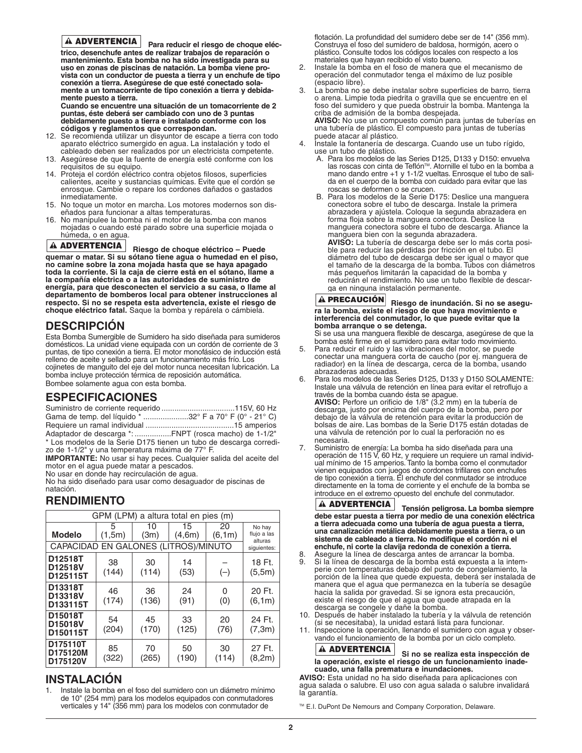#### **A ADVERTENCIA**

**Para reducir el riesgo de choque eléctrico, desenchufe antes de realizar trabajos de reparación o mantenimiento. Esta bomba no ha sido investigada para su uso en zonas de piscinas de natación. La bomba viene provista con un conductor de puesta a tierra y un enchufe de tipo conexión a tierra. Asegúrese de que esté conectado solamente a un tomacorriente de tipo conexión a tierra y debidamente puesto a tierra.**

**Cuando se encuentre una situación de un tomacorriente de 2 puntas, éste deberá ser cambiado con uno de 3 puntas debidamente puesto a tierra e instalado conforme con los códigos y reglamentos que correspondan.**

- 12. Se recomienda utilizar un disyuntor de escape a tierra con todo aparato eléctrico sumergido en agua. La instalación y todo el cableado deben ser realizados por un electricista competente.
- 13. Asegúrese de que la fuente de energía esté conforme con los requisitos de su equipo.
- 14. Proteja el cordón eléctrico contra objetos filosos, superficies calientes, aceite y sustancias químicas. Evite que el cordón se enrosque. Cambie o repare los cordones dañados o gastados inmediatamente.
- 15. No toque un motor en marcha. Los motores modernos son diseñados para funcionar a altas temperaturas.
- 16. No manipulee la bomba ni el motor de la bomba con manos mojadas o cuando esté parado sobre una superficie mojada o húmeda, o en agua.

#### **ADVERTENCIA**

**Riesgo de choque eléctrico – Puede quemar o matar. Si su sótano tiene agua o humedad en el piso, no camine sobre la zona mojada hasta que se haya apagado toda la corriente. Si la caja de cierre está en el sótano, llame a la compañía eléctrica o a las autoridades de suministro de energía, para que desconecten el servicio a su casa, o llame al departamento de bomberos local para obtener instrucciones al respecto. Si no se respeta esta advertencia, existe el riesgo de choque eléctrico fatal.** Saque la bomba y repárela o cámbiela.

#### **DESCRIPCIÓN**

Esta Bomba Sumergible de Sumidero ha sido diseñada para sumideros domésticos. La unidad viene equipada con un cordón de corriente de 3 puntas, de tipo conexión a tierra. El motor monofásico de inducción está relleno de aceite y sellado para un funcionamiento más frío. Los cojinetes de manguito del eje del motor nunca necesitan lubricación. La bomba incluye protección térmica de reposición automática. Bombee solamente agua con esta bomba.

#### **ESPECIFICACIONES**

| Gama de temp. del líquido * 32° F a 70° F (0° - 21° C) |  |
|--------------------------------------------------------|--|
|                                                        |  |
| Adaptador de descarga *: FNPT (rosca macho) de 1-1/2"  |  |

\* Los modelos de la Serie D175 tienen un tubo de descarga corredizo de 1-1/2" y una temperatura máxima de 77° F.

**IMPORTANTE:** No usar si hay peces. Cualquier salida del aceite del motor en el agua puede matar a pescados.

No usar en donde hay recirculación de agua.

No ha sido diseñado para usar como desaguador de piscinas de natación.

#### **RENDIMIENTO**

| GPM (LPM) a altura total en pies (m) |              |             |              |              |                                  |
|--------------------------------------|--------------|-------------|--------------|--------------|----------------------------------|
| <b>Modelo</b>                        | 5<br>(1, 5m) | 10<br>(3m)  | 15<br>(4,6m) | 20<br>(6.1m) | No hay<br>flujo a las<br>alturas |
| CAPACIDAD EN GALONES (LITROS)/MINUTO |              |             |              |              | siquientes:                      |
| D12518T<br>D12518V<br>D125115T       | 38<br>(144)  | 30<br>(114) | 14<br>(53)   | $(-)$        | 18 Ft.<br>(5,5m)                 |
| D13318T<br>D13318V<br>D133115T       | 46<br>(174)  | 36<br>(136) | 24<br>(91)   | 0<br>(0)     | 20 Ft.<br>(6, 1m)                |
| D15018T<br>D15018V<br>D150115T       | 54<br>(204)  | 45<br>(170) | 33<br>(125)  | 20<br>(76)   | 24 Ft.<br>(7, 3m)                |
| D175110T<br>D175120M<br>D175120V     | 85<br>(322)  | 70<br>(265) | 50<br>(190)  | 30<br>(114)  | 27 Ft.<br>(8,2m)                 |

#### **INSTALACIÓN**

1. Instale la bomba en el foso del sumidero con un diámetro mínimo de 10" (254 mm) para los modelos equipados con conmutadores verticales y 14" (356 mm) para los modelos con conmutador de

flotación. La profundidad del sumidero debe ser de 14" (356 mm). Construya el foso del sumidero de baldosa, hormigón, acero o plástico. Consulte todos los códigos locales con respecto a los materiales que hayan recibido el visto bueno.

- 2. Instale la bomba en el foso de manera que el mecanismo de operación del conmutador tenga el máximo de luz posible (espacio libre).
- La bomba no se debe instalar sobre superficies de barro, tierra o arena. Limpie toda piedrita o gravilla que se encuentre en el foso del sumidero y que pueda obstruir la bomba. Mantenga la criba de admisión de la bomba despejada. **AVISO:** No use un compuesto común para juntas de tuberías en una tubería de plástico. El compuesto para juntas de tuberías puede atacar al plástico.
- 4. Instale la fontanería de descarga. Cuando use un tubo rígido, use un tubo de plástico.<br>A. Para los modelos de las Series D125, D133 y D150: envuelva
	- A. Para los modelos de las Series D125, D133 y D150: envuelva<br>las roscas con cinta de Teflón™. Atornille el tubo en la bomba a<br>mano dando entre +1 y 1-1/2 vueltas. Enrosque el tubo de salida en el cuerpo de la bomba con cuidado para evitar que las roscas se deformen o se crucen.
	- B. Para los modelos de la Serie D175: Deslice una manguera conectora sobre el tubo de descarga. Instale la primera abrazadera y ajústela. Coloque la segunda abrazadera en forma floja sobre la manguera conectora. Deslice la manguera conectora sobre el tubo de descarga. Afiance la manguera bien con la segunda abrazadera. **AVISO:** La tubería de descarga debe ser lo más corta posible para reducir las pérdidas por fricción en el tubo. El diámetro del tubo de descarga debe ser igual o mayor que el tamaño de la descarga de la bomba. Tubos con diámetros más pequeños limitarán la capacidad de la bomba y reducirán el rendimiento. No use un tubo flexible de descarga en ninguna instalación permanente.

#### **Riesgo de inundación. Si no se asegura la bomba, existe el riesgo de que haya movimiento e interferencia del conmutador, lo que puede evitar que la bomba arranque o se detenga. A PRECAUCIÓN**

Si se usa una manguera flexible de descarga, asegúrese de que la bomba esté firme en el sumidero para evitar todo movimiento.

- 5. Para reducir el ruido y las vibraciones del motor, se puede conectar una manguera corta de caucho (por ej. manguera de radiador) en la línea de descarga, cerca de la bomba, usando abrazaderas adecuadas.
- 6. Para los modelos de las Series D125, D133 y D150 SOLAMENTE: Instale una válvula de retención en línea para evitar el retroflujo a través de la bomba cuando ésta se apague. **AVISO:** Perfore un orificio de 1/8" (3.2 mm) en la tubería de descarga, justo por encima del cuerpo de la bomba, pero por

debajo de la válvula de retención para evitar la producción de bolsas de aire. Las bombas de la Serie D175 están dotadas de una válvula de retención por lo cual la perforación no es necesaria.

7. Suministro de energía: La bomba ha sido diseñada para una operación de 115 V, 60 Hz, y requiere un requiere un ramal individual mínimo de 15 amperios. Tanto la bomba como el conmutador vienen equipados con juegos de cordones trifilares con enchufes de tipo conexión a tierra. El enchufe del conmutador se introduce directamente en la toma de corriente y el enchufe de la bomba se introduce en el extremo opuesto del enchufe del conmutador.

**Tensión peligrosa. La bomba siempre debe estar puesta a tierra por medio de una conexión eléctrica a tierra adecuada como una tubería de agua puesta a tierra, una canalización metálica debidamente puesta a tierra, o un sistema de cableado a tierra. No modifique el cordón ni el enchufe, ni corte la clavija redonda de conexión a tierra. ADVERTENCIA**

- Asegure la línea de descarga antes de arrancar la bomba. Si la línea de descarga de la bomba está expuesta a la intem-
- perie con temperaturas debajo del punto de congelamiento, la porción de la línea que quede expuesta, deberá ser instalada de manera que el agua que permanezca en la tubería se desagüe hacia la salida por gravedad. Si se ignora esta precaución, existe el riesgo de que el agua que quede atrapada en la descarga se congele y dañe la bomba.
- 10. Después de haber instalado la tubería y la válvula de retención (si se necesitaba), la unidad estará lista para funcionar.
- 11. Inspeccione la operación, llenando el sumidero con agua y observando el funcionamiento de la bomba por un ciclo completo.

#### **Si no se realiza esta inspección de la operación, existe el riesgo de un funcionamiento inadecuado, una falla prematura e inundaciones. ADVERTENCIA**

**AVISO:** Esta unidad no ha sido diseñada para aplicaciones con agua salada o salubre. El uso con agua salada o salubre invalidará la garantía.

™ E.I. DuPont De Nemours and Company Corporation, Delaware.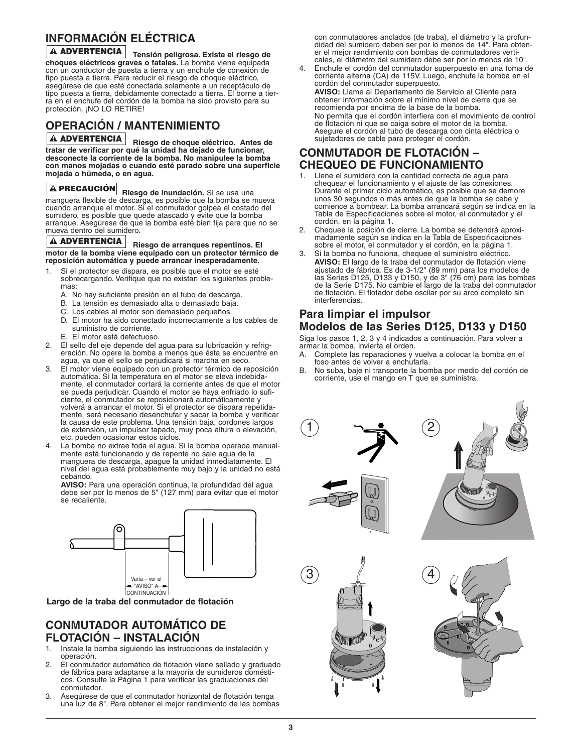### **INFORMACIÓN ELÉCTRICA**

**Tensión peligrosa. Existe el riesgo de ADVERTENCIA choques eléctricos graves o fatales.** La bomba viene equipada con un conductor de puesta a tierra y un enchufe de conexión de tipo puesta a tierra. Para reducir el riesgo de choque eléctrico, asegúrese de que esté conectada solamente a un receptáculo de tipo puesta a tierra, debidamente conectado a tierra. El borne a tierra en el enchufe del cordón de la bomba ha sido provisto para su protección. ¡NO LO RETIRE!

### **OPERACIÓN / MANTENIMIENTO**

**Riesgo de choque eléctrico. Antes de ADVERTENCIA tratar de verificar por qué la unidad ha dejado de funcionar, desconecte la corriente de la bomba. No manipulee la bomba con manos mojadas o cuando esté parado sobre una superficie mojada o húmeda, o en agua.**

#### **A PRECAUCIÓN**

**Riesgo de inundación.** Si se usa una manguera flexible de descarga, es posible que la bomba se mueva cuando arranque el motor. Si el conmutador golpea el costado del sumidero, es posible que quede atascado y evite que la bomba arranque. Asegúrese de que la bomba esté bien fija para que no se mueva dentro del sumidero.

#### **Riesgo de arranques repentinos. El ADVERTENCIA motor de la bomba viene equipado con un protector térmico de reposición automática y puede arrancar inesperadamente.**

- 1. Si el protector se dispara, es posible que el motor se esté sobrecargando. Verifique que no existan los siguientes problemas:
	- A. No hay suficiente presión en el tubo de descarga.
	- B. La tensión es demasiado alta o demasiado baja.
	- C. Los cables al motor son demasiado pequeños.
	- D. El motor ha sido conectado incorrectamente a los cables de suministro de corriente.
	- E. El motor está defectuoso.
- 2. El sello del eje depende del agua para su lubricación y refrigeración. No opere la bomba a menos que ésta se encuentre en agua, ya que el sello se perjudicará si marcha en seco.
- El motor viene equipado con un protector térmico de reposición automática. Si la temperatura en el motor se eleva indebidamente, el conmutador cortará la corriente antes de que el motor se pueda perjudicar. Cuando el motor se haya enfriado lo suficiente, el conmutador se reposicionará automáticamente y volverá a arrancar el motor. Si el protector se dispara repetidamente, será necesario desenchufar y sacar la bomba y verificar la causa de este problema. Una tensión baja, cordones largos de extensión, un impulsor tapado, muy poca altura o elevación, etc. pueden ocasionar estos ciclos.
- 4. La bomba no extrae toda el agua. Si la bomba operada manualmente está funcionando y de repente no sale agua de la manguera de descarga, apague la unidad inmediatamente. El nivel del agua está probablemente muy bajo y la unidad no está cebando.

**AVISO:** Para una operación continua, la profundidad del agua debe ser por lo menos de 5" (127 mm) para evitar que el motor se recaliente.



**Largo de la traba del conmutador de flotación**

#### **CONMUTADOR AUTOMÁTICO DE FLOTACIÓN – INSTALACIÓN**

- 1. Instale la bomba siguiendo las instrucciones de instalación y operación.
- 2. El conmutador automático de flotación viene sellado y graduado de fábrica para adaptarse a la mayoría de sumideros domésticos. Consulte la Página 1 para verificar las graduaciones del conmutador.
- Asegúrese de que el conmutador horizontal de flotación tenga una luz de 8". Para obtener el mejor rendimiento de las bombas

con conmutadores anclados (de traba), el diámetro y la profundidad del sumidero deben ser por lo menos de 14". Para obtener el mejor rendimiento con bombas de conmutadores verticales, el diámetro del sumidero debe ser por lo menos de 10".

4. Enchufe el cordón del conmutador superpuesto en una toma de corriente alterna (CA) de 115V. Luego, enchufe la bomba en el cordón del conmutador superpuesto. **AVISO:** Llame al Departamento de Servicio al Cliente para obtener información sobre el mínimo nivel de cierre que se recomienda por encima de la base de la bomba.

No permita que el cordón interfiera con el movimiento de control de flotación ni que se caiga sobre el motor de la bomba. Asegure el cordón al tubo de descarga con cinta eléctrica o sujetadores de cable para proteger el cordón.

### **CONMUTADOR DE FLOTACIÓN – CHEQUEO DE FUNCIONAMIENTO**

- Llene el sumidero con la cantidad correcta de agua para chequear el funcionamiento y el ajuste de las conexiones. Durante el primer ciclo automático, es posible que se demore unos 30 segundos o más antes de que la bomba se cebe y comience a bombear. La bomba arrancará según se indica en la Tabla de Especificaciones sobre el motor, el conmutador y el cordón, en la página 1.
- 2. Chequee la posición de cierre. La bomba se detendrá aproximadamente según se indica en la Tabla de Especificaciones sobre el motor, el conmutador y el cordón, en la página 1.
- 3. Si la bomba no funciona, chequee el suministro eléctrico. **AVISO:** El largo de la traba del conmutador de flotación viene ajustado de fábrica. Es de 3-1/2" (89 mm) para los modelos de las Series D125, D133 y D150, y de 3" (76 cm) para las bombas de la Serie D175. No cambie el largo de la traba del conmutador de flotación. El flotador debe oscilar por su arco completo sin interferencias.

#### **Para limpiar el impulsor Modelos de las Series D125, D133 y D150**

Siga los pasos 1, 2, 3 y 4 indicados a continuación. Para volver a armar la bomba, invierta el orden.

- A. Complete las reparaciones y vuelva a colocar la bomba en el foso antes de volver a enchufarla.
- B. No suba, baje ni transporte la bomba por medio del cordón de corriente, use el mango en T que se suministra.

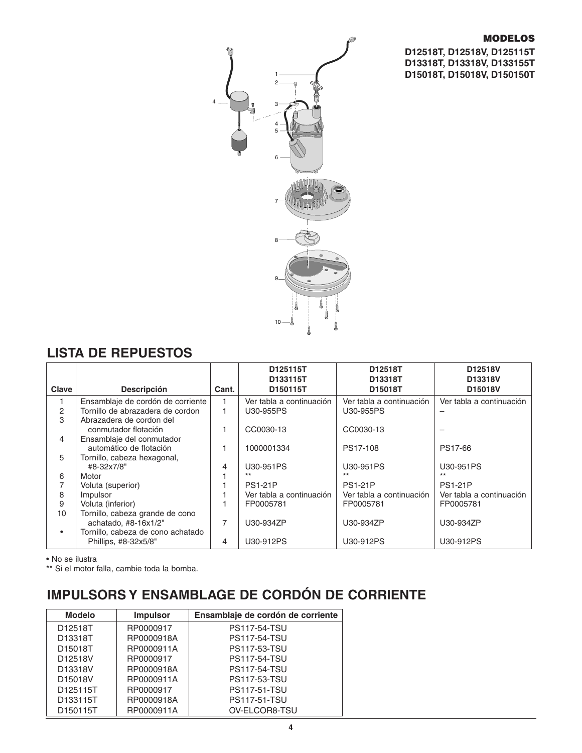#### **MODELOS**

**D12518T, D12518V, D125115T D13318T, D13318V, D133155T D15018T, D15018V, D150150T**



### **LISTA DE REPUESTOS**

| Clave | <b>Descripción</b>                | Cant. | D125115T<br>D133115T<br>D150115T | D12518T<br>D13318T<br>D15018T | D <sub>12518</sub> V<br>D13318V<br>D15018V |
|-------|-----------------------------------|-------|----------------------------------|-------------------------------|--------------------------------------------|
|       | Ensamblaje de cordón de corriente |       | Ver tabla a continuación         | Ver tabla a continuación      | Ver tabla a continuación                   |
| 2     | Tornillo de abrazadera de cordon  |       | U30-955PS                        | U30-955PS                     |                                            |
| 3     | Abrazadera de cordon del          |       |                                  |                               |                                            |
|       | conmutador flotación              |       | CC0030-13                        | CC0030-13                     |                                            |
| 4     | Ensamblaje del conmutador         |       |                                  |                               |                                            |
|       | automático de flotación           |       | 1000001334                       | PS17-108                      | PS17-66                                    |
| 5     | Tornillo, cabeza hexagonal,       |       |                                  |                               |                                            |
|       | #8-32x7/8"                        | 4     | U30-951PS                        | U30-951PS                     | U30-951PS                                  |
| 6     | Motor                             |       | $***$                            | $***$                         | $***$                                      |
|       | Voluta (superior)                 |       | <b>PS1-21P</b>                   | <b>PS1-21P</b>                | <b>PS1-21P</b>                             |
| 8     | Impulsor                          |       | Ver tabla a continuación         | Ver tabla a continuación      | Ver tabla a continuación                   |
| 9     | Voluta (inferior)                 |       | FP0005781                        | FP0005781                     | FP0005781                                  |
| 10    | Tornillo, cabeza grande de cono   |       |                                  |                               |                                            |
|       | achatado, #8-16x1/2"              | 7     | U30-934ZP                        | U30-934ZP                     | U30-934ZP                                  |
|       | Tornillo, cabeza de cono achatado |       |                                  |                               |                                            |
|       | Phillips, #8-32x5/8"              | 4     | U30-912PS                        | U30-912PS                     | U30-912PS                                  |

• No se ilustra

\*\* Si el motor falla, cambie toda la bomba.

## **IMPULSORS Y ENSAMBLAGE DE CORDÓN DE CORRIENTE**

| <b>Modelo</b> | <b>Impulsor</b> | Ensamblaje de cordón de corriente |
|---------------|-----------------|-----------------------------------|
| D12518T       | RP0000917       | <b>PS117-54-TSU</b>               |
| D13318T       | RP0000918A      | <b>PS117-54-TSU</b>               |
| D15018T       | RP0000911A      | <b>PS117-53-TSU</b>               |
| D12518V       | RP0000917       | <b>PS117-54-TSU</b>               |
| D13318V       | RP0000918A      | <b>PS117-54-TSU</b>               |
| D15018V       | RP0000911A      | <b>PS117-53-TSU</b>               |
| D125115T      | RP0000917       | <b>PS117-51-TSU</b>               |
| D133115T      | RP0000918A      | <b>PS117-51-TSU</b>               |
| D150115T      | RP0000911A      | OV-ELCOR8-TSU                     |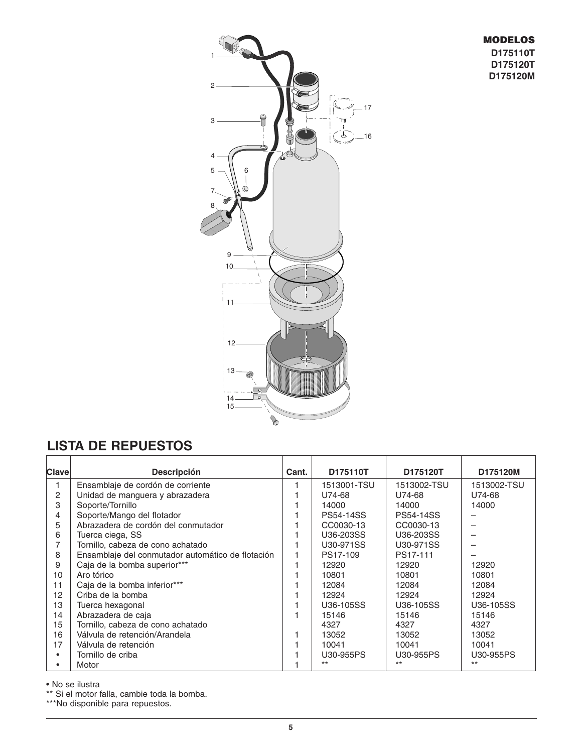#### **MODELOS D175110T D175120T D175120M**



### **LISTA DE REPUESTOS**

| <b>Clave</b> | <b>Descripción</b>                                | Cant. | D175110T         | D175120T         | D175120M    |
|--------------|---------------------------------------------------|-------|------------------|------------------|-------------|
|              |                                                   |       |                  |                  |             |
|              | Ensamblaje de cordón de corriente                 |       | 1513001-TSU      | 1513002-TSU      | 1513002-TSU |
| 2            | Unidad de manguera y abrazadera                   |       | U74-68           | U74-68           | U74-68      |
| 3            | Soporte/Tornillo                                  |       | 14000            | 14000            | 14000       |
| 4            | Soporte/Mango del flotador                        |       | <b>PS54-14SS</b> | <b>PS54-14SS</b> |             |
| 5            | Abrazadera de cordón del conmutador               |       | CC0030-13        | CC0030-13        |             |
| 6            | Tuerca ciega, SS                                  |       | U36-203SS        | U36-203SS        |             |
|              | Tornillo, cabeza de cono achatado                 |       | U30-971SS        | U30-971SS        |             |
| 8            | Ensamblaje del conmutador automático de flotación |       | PS17-109         | PS17-111         |             |
| 9            | Caja de la bomba superior***                      |       | 12920            | 12920            | 12920       |
| 10           | Aro tórico                                        |       | 10801            | 10801            | 10801       |
| 11           | Caja de la bomba inferior***                      |       | 12084            | 12084            | 12084       |
| 12           | Criba de la bomba                                 |       | 12924            | 12924            | 12924       |
| 13           | Tuerca hexagonal                                  |       | U36-105SS        | U36-105SS        | U36-105SS   |
| 14           | Abrazadera de caja                                |       | 15146            | 15146            | 15146       |
| 15           | Tornillo, cabeza de cono achatado                 |       | 4327             | 4327             | 4327        |
| 16           | Válvula de retención/Arandela                     |       | 13052            | 13052            | 13052       |
| 17           | Válvula de retención                              |       | 10041            | 10041            | 10041       |
|              | Tornillo de criba                                 |       | U30-955PS        | U30-955PS        | U30-955PS   |
|              | Motor                                             |       | $***$            | $***$            | $***$       |

• No se ilustra

\*\* Si el motor falla, cambie toda la bomba.

\*\*\*No disponible para repuestos.